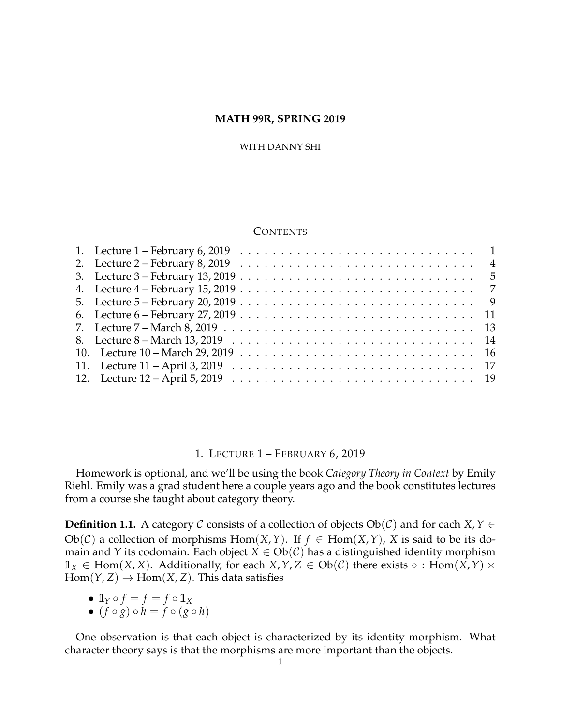### **MATH 99R, SPRING 2019**

#### WITH DANNY SHI

# **CONTENTS**

| 1. Lecture $1$ – February 6, 2019 $\ldots \ldots \ldots \ldots \ldots \ldots \ldots \ldots \ldots \ldots \ldots \ldots \ldots$ |  |
|--------------------------------------------------------------------------------------------------------------------------------|--|
| 2. Lecture $2$ – February 8, 2019 $\ldots \ldots \ldots \ldots \ldots \ldots \ldots \ldots \ldots \ldots \ldots$               |  |
|                                                                                                                                |  |
|                                                                                                                                |  |
|                                                                                                                                |  |
| 6. Lecture $6$ – February 27, 2019 $\ldots$ $\ldots$ $\ldots$ $\ldots$ $\ldots$ $\ldots$ $\ldots$ $\ldots$ $\ldots$ .          |  |
|                                                                                                                                |  |
|                                                                                                                                |  |
|                                                                                                                                |  |
|                                                                                                                                |  |
|                                                                                                                                |  |

#### 1. LECTURE 1 – FEBRUARY 6, 2019

<span id="page-0-0"></span>Homework is optional, and we'll be using the book *Category Theory in Context* by Emily Riehl. Emily was a grad student here a couple years ago and the book constitutes lectures from a course she taught about category theory.

**Definition 1.1.** A category  $C$  consists of a collection of objects  $Ob(C)$  and for each *X*,  $Y \in$ Ob(*C*) a collection of morphisms Hom(*X*,*Y*). If  $f \in Hom(X, Y)$ , *X* is said to be its domain and *Y* its codomain. Each object  $X \in Ob(\mathcal{C})$  has a distinguished identity morphism  $\mathbb{1}_X$  ∈ Hom(*X*, *X*). Additionally, for each *X*, *Y*, *Z* ∈ Ob(*C*) there exists ∘ : Hom(*X*, *Y*) ×  $Hom(Y, Z) \to Hom(X, Z)$ . This data satisfies

- $\mathbb{1}_Y \circ f = f = f \circ \mathbb{1}_X$
- $(f \circ g) \circ h = f \circ (g \circ h)$

One observation is that each object is characterized by its identity morphism. What character theory says is that the morphisms are more important than the objects.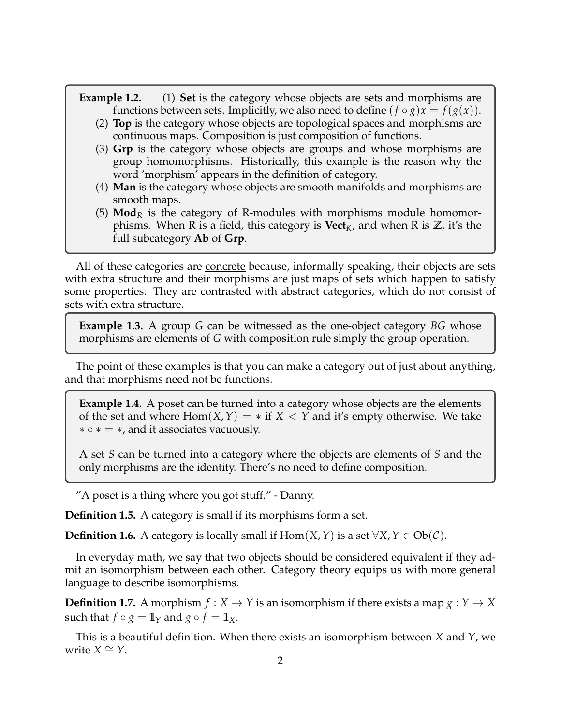- **Example 1.2.** (1) **Set** is the category whose objects are sets and morphisms are functions between sets. Implicitly, we also need to define  $(f \circ g)x = f(g(x))$ .
	- (2) **Top** is the category whose objects are topological spaces and morphisms are continuous maps. Composition is just composition of functions.
	- (3) **Grp** is the category whose objects are groups and whose morphisms are group homomorphisms. Historically, this example is the reason why the word 'morphism' appears in the definition of category.
	- (4) **Man** is the category whose objects are smooth manifolds and morphisms are smooth maps.
	- (5) **Mod**<sub>*R*</sub> is the category of R-modules with morphisms module homomorphisms. When R is a field, this category is  $Vect_K$ , and when R is  $\mathbb{Z}$ , it's the full subcategory **Ab** of **Grp**.

All of these categories are concrete because, informally speaking, their objects are sets with extra structure and their morphisms are just maps of sets which happen to satisfy some properties. They are contrasted with abstract categories, which do not consist of sets with extra structure.

**Example 1.3.** A group *G* can be witnessed as the one-object category *BG* whose morphisms are elements of *G* with composition rule simply the group operation.

The point of these examples is that you can make a category out of just about anything, and that morphisms need not be functions.

**Example 1.4.** A poset can be turned into a category whose objects are the elements of the set and where  $Hom(X, Y) = *$  if  $X < Y$  and it's empty otherwise. We take  $\ast \circ \ast = \ast$ , and it associates vacuously.

A set *S* can be turned into a category where the objects are elements of *S* and the only morphisms are the identity. There's no need to define composition.

"A poset is a thing where you got stuff." - Danny.

**Definition 1.5.** A category is small if its morphisms form a set.

**Definition 1.6.** A category is locally small if  $Hom(X, Y)$  is a set  $\forall X, Y \in Ob(\mathcal{C})$ .

In everyday math, we say that two objects should be considered equivalent if they admit an isomorphism between each other. Category theory equips us with more general language to describe isomorphisms.

**Definition 1.7.** A morphism  $f: X \to Y$  is an isomorphism if there exists a map  $g: Y \to X$ such that  $f \circ g = \mathbb{1}_Y$  and  $g \circ f = \mathbb{1}_X$ .

This is a beautiful definition. When there exists an isomorphism between *X* and *Y*, we  $write X ≅ Y$ .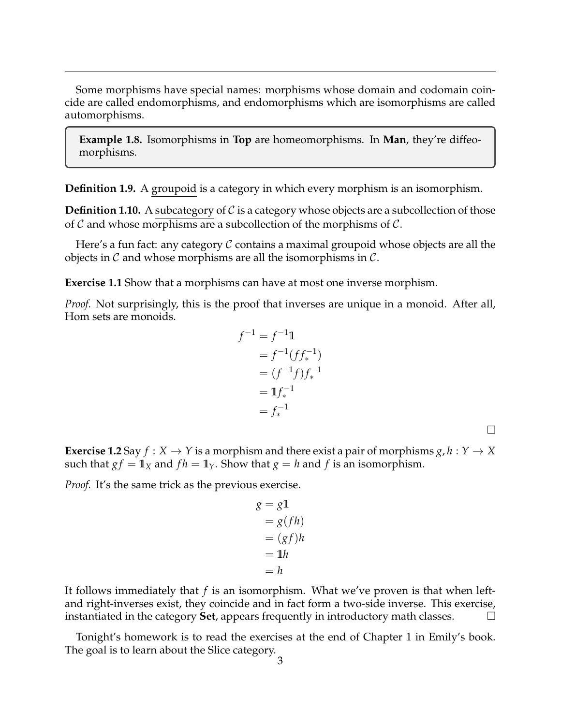Some morphisms have special names: morphisms whose domain and codomain coincide are called endomorphisms, and endomorphisms which are isomorphisms are called automorphisms.

**Example 1.8.** Isomorphisms in **Top** are homeomorphisms. In **Man**, they're diffeomorphisms.

**Definition 1.9.** A groupoid is a category in which every morphism is an isomorphism.

**Definition 1.10.** A subcategory of  $C$  is a category whose objects are a subcollection of those of  $\mathcal C$  and whose morphisms are a subcollection of the morphisms of  $\mathcal C$ .

Here's a fun fact: any category  $\mathcal C$  contains a maximal groupoid whose objects are all the objects in  $\mathcal C$  and whose morphisms are all the isomorphisms in  $\mathcal C$ .

**Exercise 1.1** Show that a morphisms can have at most one inverse morphism.

*Proof.* Not surprisingly, this is the proof that inverses are unique in a monoid. After all, Hom sets are monoids.

$$
f^{-1} = f^{-1} \mathbb{1}
$$
  
=  $f^{-1}(f f_*^{-1})$   
=  $(f^{-1} f) f_*^{-1}$   
=  $\mathbb{1} f_*^{-1}$   
=  $f_*^{-1}$ 

 $\Box$ 

**Exercise 1.2** Say  $f: X \to Y$  is a morphism and there exist a pair of morphisms  $g, h: Y \to X$ such that  $gf = 1$ *X* and  $fh = 1$ *Y*. Show that  $g = h$  and  $f$  is an isomorphism.

*Proof.* It's the same trick as the previous exercise.

$$
g = g1
$$
  
=  $g(fh)$   
=  $(gf)h$   
= 1h  
= h

It follows immediately that *f* is an isomorphism. What we've proven is that when leftand right-inverses exist, they coincide and in fact form a two-side inverse. This exercise, instantiated in the category **Set**, appears frequently in introductory math classes.

Tonight's homework is to read the exercises at the end of Chapter 1 in Emily's book. The goal is to learn about the Slice category.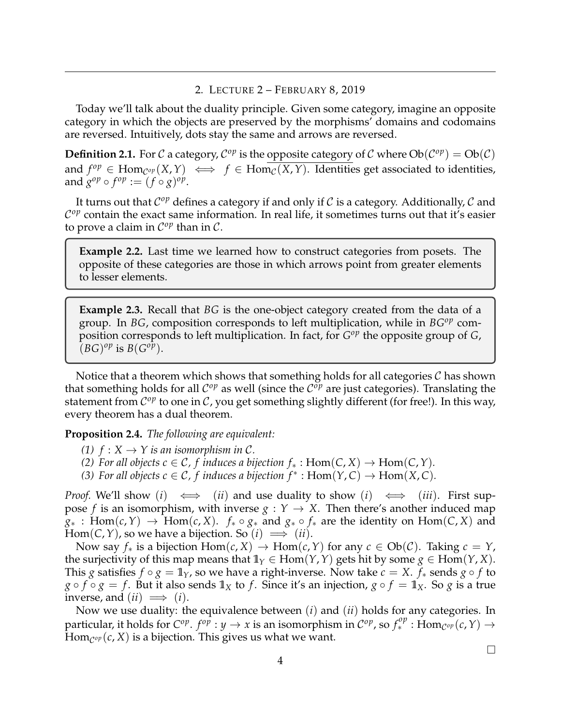# 2. LECTURE 2 – FEBRUARY 8, 2019

<span id="page-3-0"></span>Today we'll talk about the duality principle. Given some category, imagine an opposite category in which the objects are preserved by the morphisms' domains and codomains are reversed. Intuitively, dots stay the same and arrows are reversed.

**Definition 2.1.** For C a category,  $C^{op}$  is the opposite category of C where  $Ob(C^{op}) = Ob(C)$ and  $f^{op} \in \text{Hom}_{\mathcal{C}^{op}}(X,Y) \iff f \in \text{Hom}_{\mathcal{C}}(X,Y)$ . Identities get associated to identities, and  $g^{op} \circ f^{op} := (f \circ g)^{op}$ .

It turns out that  $\mathcal{C}^{op}$  defines a category if and only if  $\mathcal C$  is a category. Additionally,  $\mathcal C$  and  $\mathcal{C}^{op}$  contain the exact same information. In real life, it sometimes turns out that it's easier to prove a claim in  $\mathcal{C}^{op}$  than in  $\mathcal{C}$ .

**Example 2.2.** Last time we learned how to construct categories from posets. The opposite of these categories are those in which arrows point from greater elements to lesser elements.

**Example 2.3.** Recall that *BG* is the one-object category created from the data of a group. In *BG*, composition corresponds to left multiplication, while in *BGop* composition corresponds to left multiplication. In fact, for  $G^{op}$  the opposite group of *G*,  $(BG)^{op}$  is  $B(G^{op})$ .

Notice that a theorem which shows that something holds for all categories  $\mathcal C$  has shown that something holds for all  $\mathcal{C}^{op}$  as well (since the  $\mathcal{C}^{op}$  are just categories). Translating the statement from  $\mathcal{C}^{op}$  to one in  $\mathcal{C}$ , you get something slightly different (for free!). In this way, every theorem has a dual theorem.

**Proposition 2.4.** *The following are equivalent:*

- *(1)*  $f: X \rightarrow Y$  *is an isomorphism in C.*
- *(2) For all objects*  $c \in \mathcal{C}$ *,*  $f$  *induces a bijection*  $f_*$  :  $Hom(C, X)$  →  $Hom(C, Y)$ *.*
- *(3) For all objects*  $c \in \mathcal{C}$ *, f induces a bijection*  $f^* : Hom(Y, C) \to Hom(X, C)$ *.*

*Proof.* We'll show (*i*)  $\iff$  (*ii*) and use duality to show (*i*)  $\iff$  (*iii*). First suppose *f* is an isomorphism, with inverse  $g: Y \rightarrow X$ . Then there's another induced map *g*<sup>∗</sup> : Hom(*c*, *Y*) → Hom(*c*, *X*).  $f_* \circ g_*$  and  $g_* \circ f_*$  are the identity on Hom(*C*, *X*) and Hom(*C*, *Y*), so we have a bijection. So  $(i) \implies (ii)$ .

Now say  $f_*$  is a bijection  $Hom(c, X) \to Hom(c, Y)$  for any  $c \in Ob(\mathcal{C})$ . Taking  $c = Y$ , the surjectivity of this map means that  $\mathbb{1}_Y \in \text{Hom}(Y, Y)$  gets hit by some  $g \in \text{Hom}(Y, X)$ . This *g* satisfies  $f \circ g = \mathbb{1}_Y$ , so we have a right-inverse. Now take  $c = X$ .  $f_*$  sends  $g \circ f$  to  $g \circ f \circ g = f$ . But it also sends  $\mathbb{1}_X$  to f. Since it's an injection,  $g \circ f = \mathbb{1}_X$ . So *g* is a true inverse, and  $(ii) \implies (i)$ .

Now we use duality: the equivalence between (*i*) and (*ii*) holds for any categories. In  $p$  particular, it holds for  $C^{op}$ .  $f^{op}: y \to x$  is an isomorphism in  $C^{op}$ , so  $f_*^{op}: Hom_{C^{op}}(c, Y) \to Y$  $\text{Hom}_{\mathcal{C}^{op}}(\mathfrak{c},X)$  is a bijection. This gives us what we want.

 $\Box$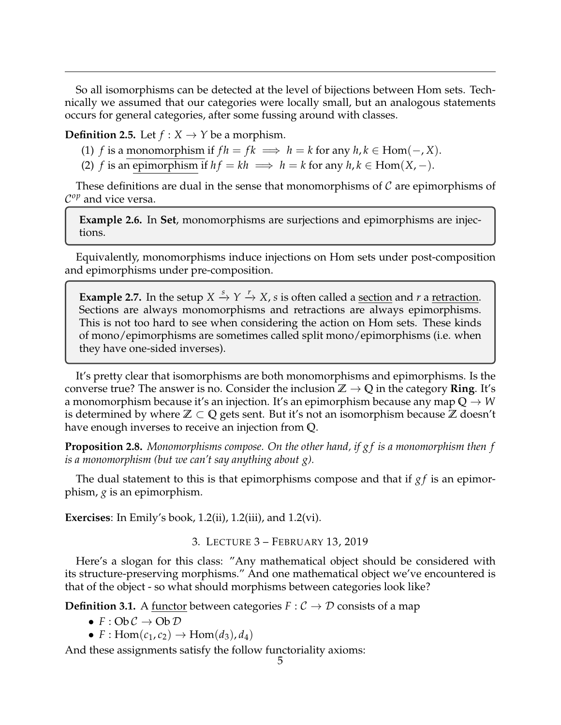So all isomorphisms can be detected at the level of bijections between Hom sets. Technically we assumed that our categories were locally small, but an analogous statements occurs for general categories, after some fussing around with classes.

**Definition 2.5.** Let  $f: X \rightarrow Y$  be a morphism.

(1) *f* is a monomorphism if  $fh = fk \implies h = k$  for any  $h, k \in Hom(-, X)$ .

(2) *f* is an epimorphism if  $hf = kh \implies h = k$  for any  $h, k \in \text{Hom}(X, -)$ .

These definitions are dual in the sense that monomorphisms of  $\mathcal C$  are epimorphisms of C *op* and vice versa.

**Example 2.6.** In **Set**, monomorphisms are surjections and epimorphisms are injections.

Equivalently, monomorphisms induce injections on Hom sets under post-composition and epimorphisms under pre-composition.

**Example 2.7.** In the setup  $X \xrightarrow{s} Y \xrightarrow{r} X$ , *s* is often called a <u>section</u> and *r* a <u>retraction</u>. Sections are always monomorphisms and retractions are always epimorphisms. This is not too hard to see when considering the action on Hom sets. These kinds of mono/epimorphisms are sometimes called split mono/epimorphisms (i.e. when they have one-sided inverses).

It's pretty clear that isomorphisms are both monomorphisms and epimorphisms. Is the converse true? The answer is no. Consider the inclusion  $\mathbb{Z} \to \mathbb{Q}$  in the category **Ring**. It's a monomorphism because it's an injection. It's an epimorphism because any map  $Q \rightarrow W$ is determined by where **Z** ⊂ **Q** gets sent. But it's not an isomorphism because **Z** doesn't have enough inverses to receive an injection from **Q**.

**Proposition 2.8.** *Monomorphisms compose. On the other hand, if g f is a monomorphism then f is a monomorphism (but we can't say anything about g).*

The dual statement to this is that epimorphisms compose and that if *gf* is an epimorphism, *g* is an epimorphism.

**Exercises**: In Emily's book, 1.2(ii), 1.2(iii), and 1.2(vi).

3. LECTURE 3 – FEBRUARY 13, 2019

<span id="page-4-0"></span>Here's a slogan for this class: "Any mathematical object should be considered with its structure-preserving morphisms." And one mathematical object we've encountered is that of the object - so what should morphisms between categories look like?

**Definition 3.1.** A <u>functor</u> between categories  $F: \mathcal{C} \to \mathcal{D}$  consists of a map

- $F: Ob \mathcal{C} \to Ob \mathcal{D}$
- $F: \text{Hom}(c_1, c_2) \to \text{Hom}(d_3)$ ,  $d_4$ )

And these assignments satisfy the follow functoriality axioms: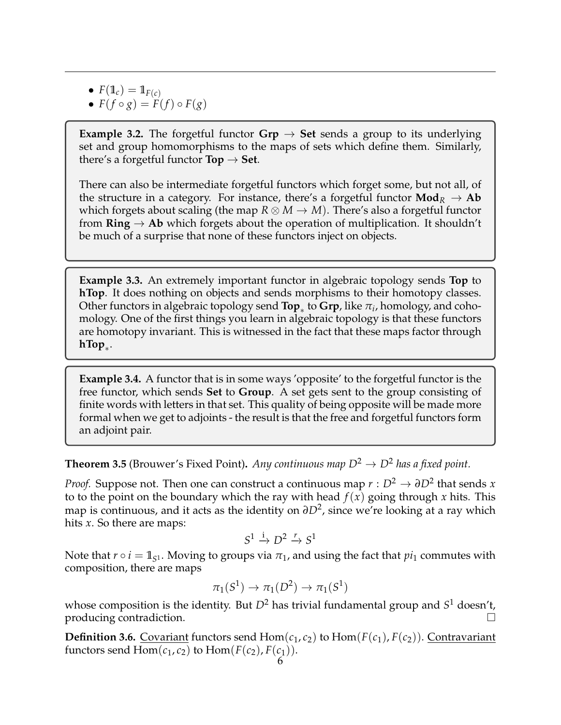- $F(\mathbb{1}_c) = \mathbb{1}_{F(c)}$
- $F(f \circ g) = F(f) \circ F(g)$

**Example 3.2.** The forgetful functor  $Grp \rightarrow Set$  sends a group to its underlying set and group homomorphisms to the maps of sets which define them. Similarly, there's a forgetful functor  $\text{Top} \rightarrow \text{Set}$ .

There can also be intermediate forgetful functors which forget some, but not all, of the structure in a category. For instance, there's a forgetful functor  $\text{Mod}_R \rightarrow \text{Ab}$ which forgets about scaling (the map  $R \otimes M \to M$ ). There's also a forgetful functor from  $\text{Ring} \to \text{Ab}$  which forgets about the operation of multiplication. It shouldn't be much of a surprise that none of these functors inject on objects.

**Example 3.3.** An extremely important functor in algebraic topology sends **Top** to **hTop**. It does nothing on objects and sends morphisms to their homotopy classes. Other functors in algebraic topology send  $\textsf{Top}_*$  to  $\textsf{Grp}$ , like  $\pi_i$ , homology, and cohomology. One of the first things you learn in algebraic topology is that these functors are homotopy invariant. This is witnessed in the fact that these maps factor through **hTop**<sup>∗</sup> .

**Example 3.4.** A functor that is in some ways 'opposite' to the forgetful functor is the free functor, which sends **Set** to **Group**. A set gets sent to the group consisting of finite words with letters in that set. This quality of being opposite will be made more formal when we get to adjoints - the result is that the free and forgetful functors form an adjoint pair.

**Theorem 3.5** (Brouwer's Fixed Point). Any continuous map  $D^2 \rightarrow D^2$  has a fixed point.

*Proof.* Suppose not. Then one can construct a continuous map  $r : D^2 \to \partial D^2$  that sends *x* to to the point on the boundary which the ray with head  $f(x)$  going through x hits. This map is continuous, and it acts as the identity on ∂D<sup>2</sup>, since we're looking at a ray which hits *x*. So there are maps:

$$
S^1 \xrightarrow{i} D^2 \xrightarrow{r} S^1
$$

Note that  $r \circ i = \mathbb{1}_{S^1}$ . Moving to groups via  $\pi_1$ , and using the fact that  $pi_1$  commutes with composition, there are maps

$$
\pi_1(S^1) \rightarrow \pi_1(D^2) \rightarrow \pi_1(S^1)
$$

whose composition is the identity. But *D*<sup>2</sup> has trivial fundamental group and *S* <sup>1</sup> doesn't, producing contradiction.

**Definition 3.6.** Covariant functors send  $Hom(c_1, c_2)$  to  $Hom(F(c_1), F(c_2))$ . Contravariant functors send  $Hom(c_1, c_2)$  to  $Hom(F(c_2), F(c_1)).$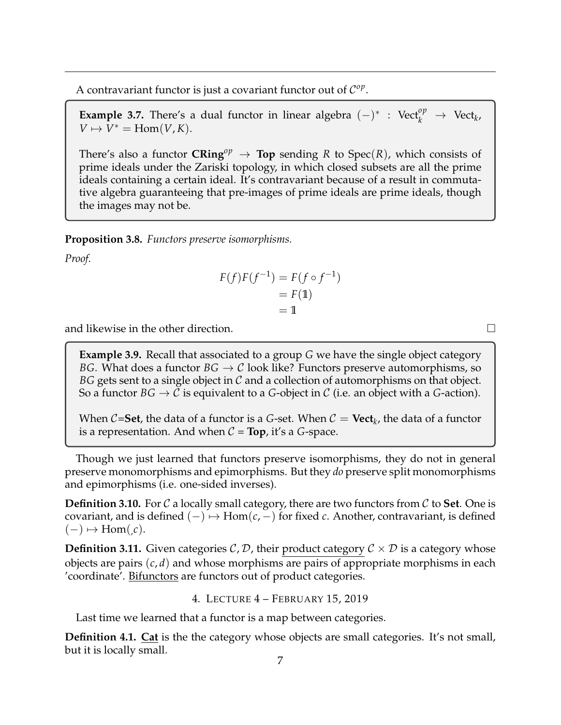A contravariant functor is just a covariant functor out of  $\mathcal{C}^{op}$ .

**Example 3.7.** There's a dual functor in linear algebra  $(-)^*$  : Vect<sup>*op*</sup>  $\rightarrow$  Vect<sub>*k*</sub></sub>  $V \mapsto V^* = \text{Hom}(V, K).$ 

There's also a functor  $\mathbf{CRing}^{op} \to \mathbf{Top}$  sending R to  $\text{Spec}(R)$ , which consists of prime ideals under the Zariski topology, in which closed subsets are all the prime ideals containing a certain ideal. It's contravariant because of a result in commutative algebra guaranteeing that pre-images of prime ideals are prime ideals, though the images may not be.

**Proposition 3.8.** *Functors preserve isomorphisms.*

*Proof.*

$$
F(f)F(f^{-1}) = F(f \circ f^{-1})
$$
  
= F(1)  
= 1

and likewise in the other direction.  $\Box$ 

**Example 3.9.** Recall that associated to a group *G* we have the single object category *BG*. What does a functor  $BG \rightarrow C$  look like? Functors preserve automorphisms, so *BG* gets sent to a single object in  $\mathcal C$  and a collection of automorphisms on that object. So a functor  $BG \to C$  is equivalent to a *G*-object in *C* (i.e. an object with a *G*-action).

When  $C$ =**Set**, the data of a functor is a G-set. When  $C = \textbf{Vect}_k$ , the data of a functor is a representation. And when  $C = Top$ , it's a *G*-space.

Though we just learned that functors preserve isomorphisms, they do not in general preserve monomorphisms and epimorphisms. But they *do* preserve split monomorphisms and epimorphisms (i.e. one-sided inverses).

**Definition 3.10.** For  $\mathcal C$  a locally small category, there are two functors from  $\mathcal C$  to **Set**. One is covariant, and is defined  $(-) \mapsto \text{Hom}(c, -)$  for fixed *c*. Another, contravariant, is defined  $(-) \mapsto \text{Hom}(\iota,c).$ 

**Definition 3.11.** Given categories  $C$ ,  $D$ , their product category  $C \times D$  is a category whose objects are pairs (*c*, *d*) and whose morphisms are pairs of appropriate morphisms in each 'coordinate'. Bifunctors are functors out of product categories.

4. LECTURE 4 – FEBRUARY 15, 2019

<span id="page-6-0"></span>Last time we learned that a functor is a map between categories.

**Definition 4.1. Cat** is the the category whose objects are small categories. It's not small, but it is locally small.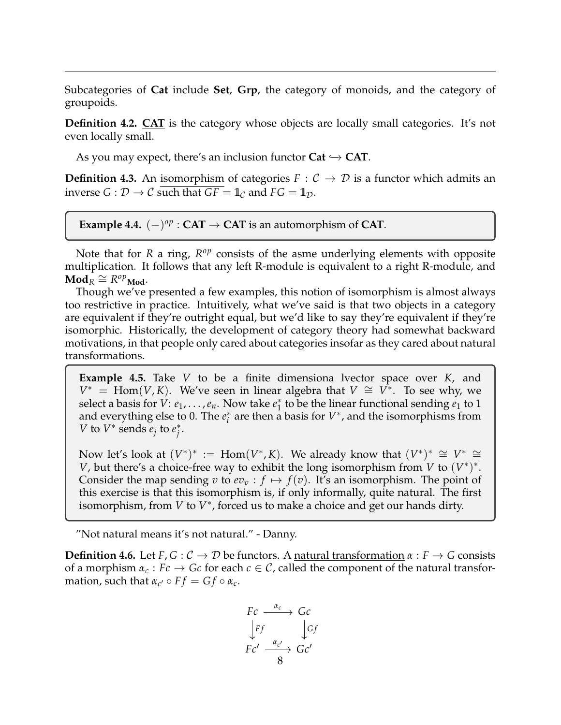Subcategories of **Cat** include **Set**, **Grp**, the category of monoids, and the category of groupoids.

**Definition 4.2. CAT** is the category whose objects are locally small categories. It's not even locally small.

As you may expect, there's an inclusion functor  $Cat \hookrightarrow CAT$ .

**Definition 4.3.** An isomorphism of categories  $F : C \rightarrow D$  is a functor which admits an inverse  $G : \mathcal{D} \to \mathcal{C}$  such that  $GF = \mathbb{1}_{\mathcal{C}}$  and  $FG = \mathbb{1}_{\mathcal{D}}$ .

**Example 4.4.**  $(-)^{op}$  : **CAT**  $\rightarrow$  **CAT** is an automorphism of **CAT**.

Note that for *R* a ring,  $R^{op}$  consists of the asme underlying elements with opposite multiplication. It follows that any left R-module is equivalent to a right R-module, and  $\mathbf{Mod}_R^{\mathbf{1}} \cong R^{op} \mathbf{Mod}.$ 

Though we've presented a few examples, this notion of isomorphism is almost always too restrictive in practice. Intuitively, what we've said is that two objects in a category are equivalent if they're outright equal, but we'd like to say they're equivalent if they're isomorphic. Historically, the development of category theory had somewhat backward motivations, in that people only cared about categories insofar as they cared about natural transformations.

**Example 4.5.** Take *V* to be a finite dimensiona lvector space over *K*, and  $V^*$  = Hom(*V*, *K*). We've seen in linear algebra that  $V \cong V^*$ . To see why, we select a basis for  $\hat{V}: e_1, \ldots, e_n$ . Now take  $e_1^*$  $_1^*$  to be the linear functional sending  $e_1$  to 1 and everything else to 0. The  $e_i^*$  $\sum_{i=1}^{n}$  are then a basis for  $V^*$ , and the isomorphisms from *V* to  $V^*$  sends  $e_j$  to  $e_j^*$ *j* .

Now let's look at  $(V^*)^* := \text{Hom}(V^*, K)$ . We already know that  $(V^*)^* \cong V^* \cong$ *V*, but there's a choice-free way to exhibit the long isomorphism from *V* to  $(V^*)^*$ . Consider the map sending *v* to  $ev_v : f \mapsto f(v)$ . It's an isomorphism. The point of this exercise is that this isomorphism is, if only informally, quite natural. The first isomorphism, from *V* to *V* ∗ , forced us to make a choice and get our hands dirty.

"Not natural means it's not natural." - Danny.

**Definition 4.6.** Let *F*, *G* :  $C \rightarrow D$  be functors. A natural transformation  $\alpha : F \rightarrow G$  consists of a morphism  $\alpha_c : Fc \to Gc$  for each  $c \in \mathcal{C}$ , called the component of the natural transformation, such that  $\alpha_{c'} \circ Ff = Gf \circ \alpha_c$ .

$$
\begin{array}{ccc}\nFc & \xrightarrow{\alpha_c} & Gc \\
\downarrow Ff & & \downarrow Gf \\
Fc' & \xrightarrow{\alpha_{c'}} & Gc'\n\end{array}
$$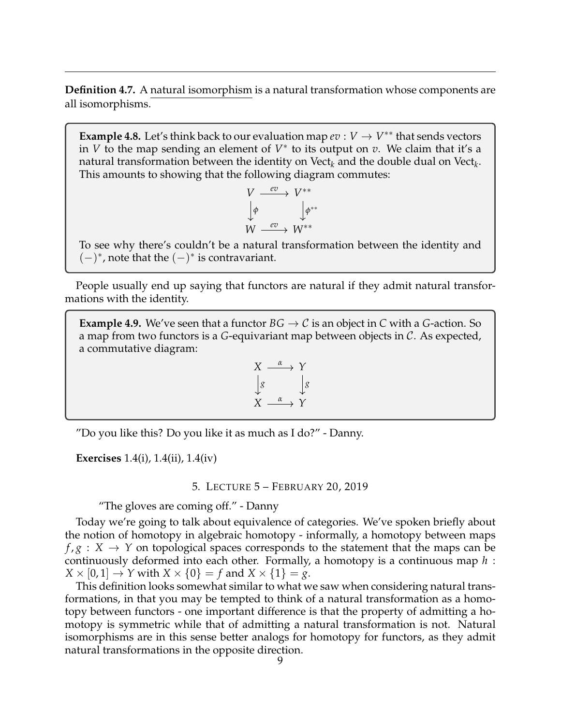**Definition 4.7.** A natural isomorphism is a natural transformation whose components are all isomorphisms.

**Example 4.8.** Let's think back to our evaluation map  $ev : V \to V^{**}$  that sends vectors in *V* to the map sending an element of  $V^*$  to its output on *v*. We claim that it's a natural transformation between the identity on Vect $_k$  and the double dual on Vect $_k$ . This amounts to showing that the following diagram commutes:

$$
V \xrightarrow{ev} V^{**}
$$
  

$$
\downarrow \phi \qquad \qquad \downarrow \phi^{**}
$$
  

$$
W \xrightarrow{ev} W^{**}
$$

To see why there's couldn't be a natural transformation between the identity and  $(-)^*$ , note that the  $(-)^*$  is contravariant.

People usually end up saying that functors are natural if they admit natural transformations with the identity.

**Example 4.9.** We've seen that a functor  $BG \rightarrow C$  is an object in C with a G-action. So a map from two functors is a *G*-equivariant map between objects in C. As expected, a commutative diagram:

$$
X \xrightarrow{\alpha} Y
$$
  
\n
$$
\downarrow g
$$
  
\n
$$
X \xrightarrow{\alpha} Y
$$

"Do you like this? Do you like it as much as I do?" - Danny.

<span id="page-8-0"></span>**Exercises** 1.4(i), 1.4(ii), 1.4(iv)

5. LECTURE 5 – FEBRUARY 20, 2019

"The gloves are coming off." - Danny

Today we're going to talk about equivalence of categories. We've spoken briefly about the notion of homotopy in algebraic homotopy - informally, a homotopy between maps  $f, g: X \to Y$  on topological spaces corresponds to the statement that the maps can be continuously deformed into each other. Formally, a homotopy is a continuous map *h* :  $X \times [0, 1] \rightarrow Y$  with  $X \times \{0\} = f$  and  $X \times \{1\} = g$ .

This definition looks somewhat similar to what we saw when considering natural transformations, in that you may be tempted to think of a natural transformation as a homotopy between functors - one important difference is that the property of admitting a homotopy is symmetric while that of admitting a natural transformation is not. Natural isomorphisms are in this sense better analogs for homotopy for functors, as they admit natural transformations in the opposite direction.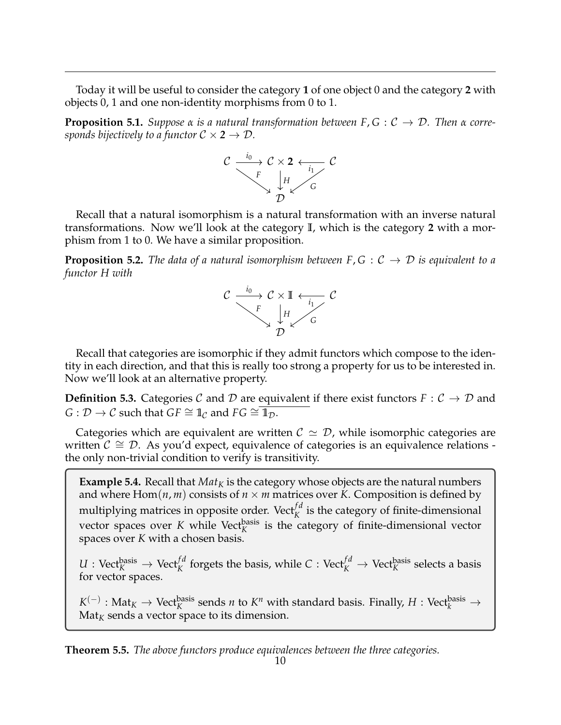Today it will be useful to consider the category **1** of one object 0 and the category **2** with objects 0, 1 and one non-identity morphisms from 0 to 1.

**Proposition 5.1.** *Suppose*  $\alpha$  *is a natural transformation between*  $F, G : C \rightarrow D$ *. Then*  $\alpha$  *corresponds bijectively to a functor*  $C \times 2 \rightarrow D$ *.* 



Recall that a natural isomorphism is a natural transformation with an inverse natural transformations. Now we'll look at the category **I**, which is the category **2** with a morphism from 1 to 0. We have a similar proposition.

**Proposition 5.2.** *The data of a natural isomorphism between*  $F, G : C \rightarrow D$  *is equivalent to a functor H with*



Recall that categories are isomorphic if they admit functors which compose to the identity in each direction, and that this is really too strong a property for us to be interested in. Now we'll look at an alternative property.

**Definition 5.3.** Categories C and D are equivalent if there exist functors  $F: C \to D$  and *G* :  $\mathcal{D} \rightarrow \mathcal{C}$  such that *GF*  $\cong$  1<sub>*C*</sub> and *FG*  $\cong$  1<sub>*D*</sub>.

Categories which are equivalent are written  $C \simeq D$ , while isomorphic categories are written  $C \cong \mathcal{D}$ . As you'd expect, equivalence of categories is an equivalence relations the only non-trivial condition to verify is transitivity.

**Example 5.4.** Recall that  $Mat_K$  is the category whose objects are the natural numbers and where  $Hom(n, m)$  consists of  $n \times m$  matrices over *K*. Composition is defined by multiplying matrices in opposite order. Vect $_f^{fd}$  is the category of finite-dimensional vector spaces over  $K$  while Vect $_K^{\text{basis}}$  is the category of finite-dimensional vector spaces over *K* with a chosen basis.

 $U: \mathrm{Vect}_K^{\mathrm{basis}} \to \mathrm{Vect}_K^{\mathrm{fd}}$  forgets the basis, while  $C: \mathrm{Vect}_K^{\mathrm{fd}} \to \mathrm{Vect}_K^{\mathrm{basis}}$  selects a basis for vector spaces.

 $K^{(-)}:$  Mat $_K \to$  Vect $_K^{\text{basis}}$  sends *n* to  $K^n$  with standard basis. Finally,  $H:$  Vect $_k^{\text{basis}} \to$  $\text{Mat}_K$  sends a vector space to its dimension.

**Theorem 5.5.** *The above functors produce equivalences between the three categories.*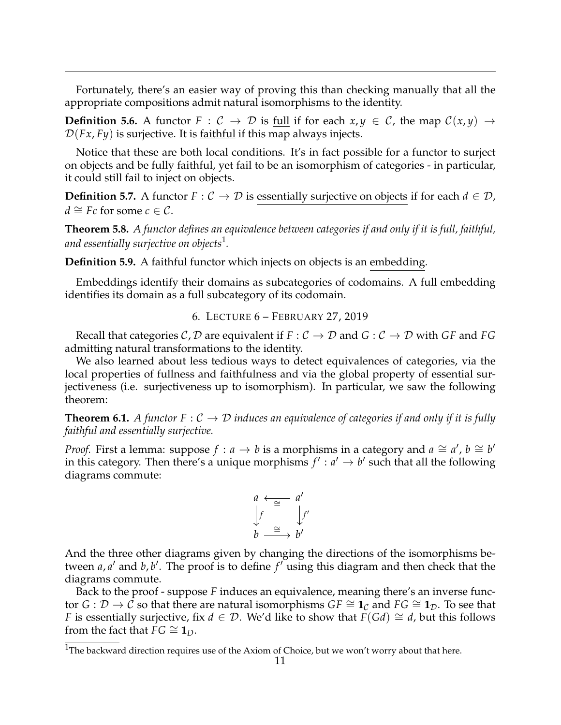Fortunately, there's an easier way of proving this than checking manually that all the appropriate compositions admit natural isomorphisms to the identity.

**Definition 5.6.** A functor  $F : C \to D$  is full if for each  $x, y \in C$ , the map  $C(x, y) \to C$  $\mathcal{D}(Fx, Fy)$  is surjective. It is faithful if this map always injects.

Notice that these are both local conditions. It's in fact possible for a functor to surject on objects and be fully faithful, yet fail to be an isomorphism of categories - in particular, it could still fail to inject on objects.

**Definition 5.7.** A functor  $F: \mathcal{C} \to \mathcal{D}$  is essentially surjective on objects if for each  $d \in \mathcal{D}$ , *d*  $\cong$  *Fc* for some *c* ∈ *C*.

**Theorem 5.8.** *A functor defines an equivalence between categories if and only if it is full, faithful, and essentially surjective on objects*[1](#page-10-1) *.*

**Definition 5.9.** A faithful functor which injects on objects is an embedding.

Embeddings identify their domains as subcategories of codomains. A full embedding identifies its domain as a full subcategory of its codomain.

6. LECTURE 6 – FEBRUARY 27, 2019

<span id="page-10-0"></span>Recall that categories C, D are equivalent if  $F : C \to D$  and  $G : C \to D$  with GF and FG admitting natural transformations to the identity.

We also learned about less tedious ways to detect equivalences of categories, via the local properties of fullness and faithfulness and via the global property of essential surjectiveness (i.e. surjectiveness up to isomorphism). In particular, we saw the following theorem:

**Theorem 6.1.** A functor  $F: C \to D$  *induces an equivalence of categories if and only if it is fully faithful and essentially surjective.*

*Proof.* First a lemma: suppose  $f : a \rightarrow b$  is a morphisms in a category and  $a \cong a'$ ,  $b \cong b'$ in this category. Then there's a unique morphisms  $f' : a' \rightarrow b'$  such that all the following diagrams commute:



And the three other diagrams given by changing the directions of the isomorphisms between *a*, *a'* and *b*, *b'*. The proof is to define *f'* using this diagram and then check that the diagrams commute.

Back to the proof - suppose *F* induces an equivalence, meaning there's an inverse functor *G* :  $D$  → *C* so that there are natural isomorphisms *GF*  $\cong$  **1**<sub>*C*</sub> and *FG*  $\cong$  **1**<sub>*D*</sub>. To see that *F* is essentially surjective, fix  $d \in \mathcal{D}$ . We'd like to show that  $F(Gd) \cong d$ , but this follows from the fact that  $FG \cong 1_D$ .

<span id="page-10-1"></span><sup>&</sup>lt;sup>1</sup>The backward direction requires use of the Axiom of Choice, but we won't worry about that here.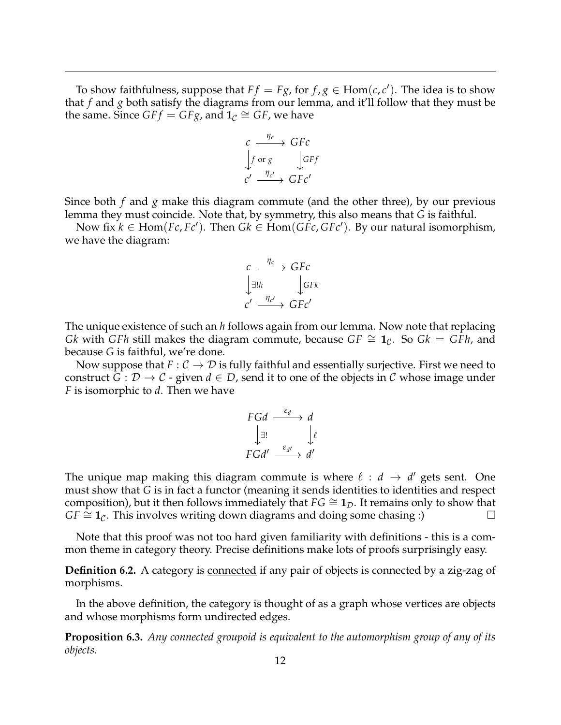To show faithfulness, suppose that  $Ff = Fg$ , for  $f, g \in \text{Hom}(c, c')$ . The idea is to show that *f* and *g* both satisfy the diagrams from our lemma, and it'll follow that they must be the same. Since  $GFf = GFg$ , and  $1_c \cong GF$ , we have

$$
c \xrightarrow{\eta_c} GFc
$$
  
\n
$$
\downarrow f \text{ or } g \qquad \downarrow GFf
$$
  
\n
$$
c' \xrightarrow{\eta_{c'}} GFc'
$$

Since both *f* and *g* make this diagram commute (and the other three), by our previous lemma they must coincide. Note that, by symmetry, this also means that *G* is faithful.

Now fix  $k \in \text{Hom}(Fc, Fc')$ . Then  $Gk \in \text{Hom}(GFc, GFc')$ . By our natural isomorphism, we have the diagram:

$$
c \xrightarrow{\eta_c} GFc
$$
  

$$
\downarrow \exists! h \qquad \qquad \downarrow GFk
$$
  

$$
c' \xrightarrow{\eta_{c'}} GFc'
$$

The unique existence of such an *h* follows again from our lemma. Now note that replacing *Gk* with *GFh* still makes the diagram commute, because  $GF \cong 1_C$ . So  $Gk = GFh$ , and because *G* is faithful, we're done.

Now suppose that  $F: \mathcal{C} \to \mathcal{D}$  is fully faithful and essentially surjective. First we need to construct *G* :  $D \rightarrow C$  - given  $d \in D$ , send it to one of the objects in *C* whose image under *F* is isomorphic to *d*. Then we have

$$
\begin{array}{ccc}\nFGd & \xrightarrow{\varepsilon_d} & d \\
\downarrow \exists! & & \downarrow \ell \\
FGd' & \xrightarrow{\varepsilon_{d'}} & d'\n\end{array}
$$

The unique map making this diagram commute is where  $\ell : d \rightarrow d'$  gets sent. One must show that *G* is in fact a functor (meaning it sends identities to identities and respect composition), but it then follows immediately that  $FG \cong 1_D$ . It remains only to show that  $GF \cong 1_C$ . This involves writing down diagrams and doing some chasing :)

Note that this proof was not too hard given familiarity with definitions - this is a common theme in category theory. Precise definitions make lots of proofs surprisingly easy.

**Definition 6.2.** A category is **connected** if any pair of objects is connected by a zig-zag of morphisms.

In the above definition, the category is thought of as a graph whose vertices are objects and whose morphisms form undirected edges.

**Proposition 6.3.** *Any connected groupoid is equivalent to the automorphism group of any of its objects.*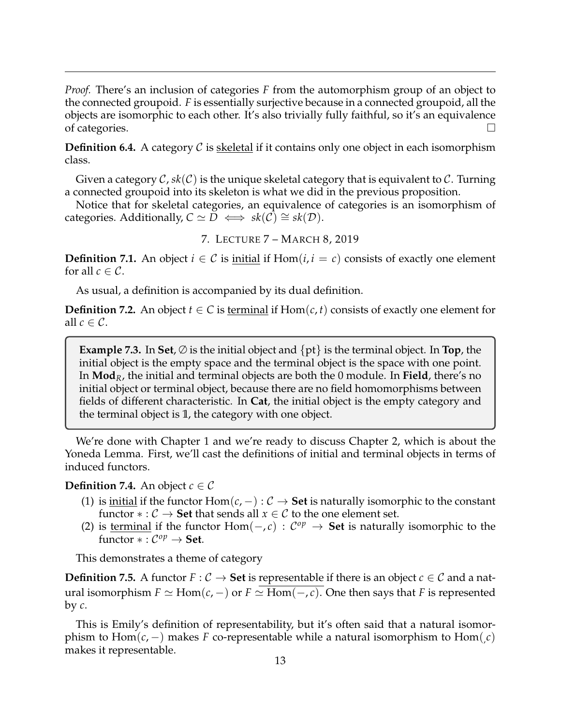*Proof.* There's an inclusion of categories *F* from the automorphism group of an object to the connected groupoid. *F* is essentially surjective because in a connected groupoid, all the objects are isomorphic to each other. It's also trivially fully faithful, so it's an equivalence of categories.  $\Box$ 

**Definition 6.4.** A category C is skeletal if it contains only one object in each isomorphism class.

Given a category  $C$ ,  $sk(C)$  is the unique skeletal category that is equivalent to C. Turning a connected groupoid into its skeleton is what we did in the previous proposition.

Notice that for skeletal categories, an equivalence of categories is an isomorphism of *categories.* Additionally,  $C \simeq D \iff sk(C) \cong sk(D)$ .

7. LECTURE 7 – MARCH 8, 2019

<span id="page-12-0"></span>**Definition 7.1.** An object  $i \in \mathcal{C}$  is initial if  $Hom(i, i = c)$  consists of exactly one element for all  $c \in \mathcal{C}$ .

As usual, a definition is accompanied by its dual definition.

**Definition 7.2.** An object  $t \in C$  is terminal if  $Hom(c, t)$  consists of exactly one element for all  $c \in \mathcal{C}$ .

**Example 7.3.** In **Set**,  $\emptyset$  is the initial object and  $\{pt\}$  is the terminal object. In **Top**, the initial object is the empty space and the terminal object is the space with one point. In **Mod***R*, the initial and terminal objects are both the 0 module. In **Field**, there's no initial object or terminal object, because there are no field homomorphisms between fields of different characteristic. In **Cat**, the initial object is the empty category and the terminal object is **1**, the category with one object.

We're done with Chapter 1 and we're ready to discuss Chapter 2, which is about the Yoneda Lemma. First, we'll cast the definitions of initial and terminal objects in terms of induced functors.

### **Definition 7.4.** An object  $c \in \mathcal{C}$

- (1) is <u>initial</u> if the functor  $Hom(c, -): C \rightarrow$  **Set** is naturally isomorphic to the constant functor  $* : C \to \mathbf{Set}$  that sends all  $x \in C$  to the one element set.
- (2) is <u>terminal</u> if the functor  $Hom(-, c)$  :  $C^{op}$  → **Set** is naturally isomorphic to the functor  $*:\mathcal{C}^{op}\to \mathbf{Set}.$

This demonstrates a theme of category

**Definition 7.5.** A functor  $F : C \to \mathbf{Set}$  is representable if there is an object  $c \in C$  and a natural isomorphism *F*  $\simeq$  Hom(*c*, −) or *F*  $\simeq$  Hom(−, *c*). One then says that *F* is represented by *c*.

This is Emily's definition of representability, but it's often said that a natural isomorphism to  $\text{Hom}(c, -)$  makes *F* co-representable while a natural isomorphism to  $\text{Hom}(c)$ makes it representable.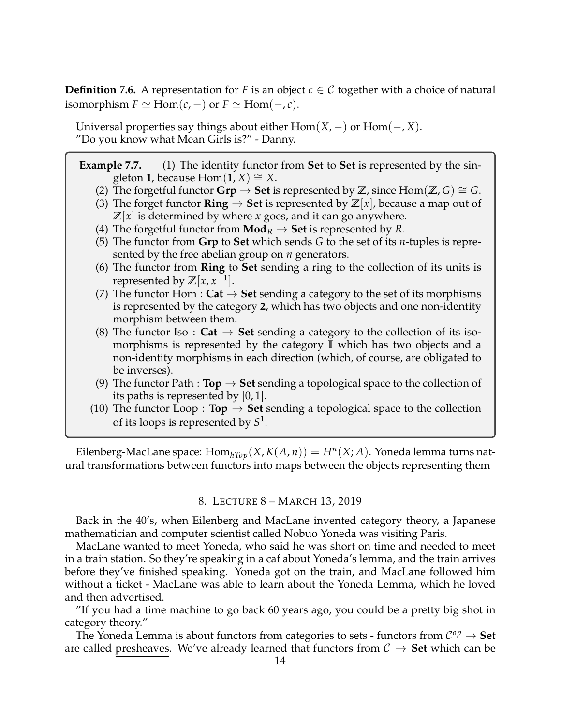**Definition 7.6.** A representation for *F* is an object  $c \in C$  together with a choice of natural isomorphism  $F \simeq$  Hom( $c$ , −) or  $F \simeq$  Hom( $-$ ,  $c$ ).

Universal properties say things about either Hom(*X*, −) or Hom(−, *X*). "Do you know what Mean Girls is?" - Danny.

# **Example 7.7.** (1) The identity functor from **Set** to **Set** is represented by the singleton **1**, because Hom(**1**, *X*) ≅ *X*.

- (2) The forgetful functor  $\mathbf{Grp} \to \mathbf{Set}$  is represented by  $\mathbb{Z}$ , since  $\text{Hom}(\mathbb{Z}, G) \cong G$ .
- (3) The forget functor **Ring**  $\rightarrow$  **Set** is represented by  $\mathbb{Z}[x]$ , because a map out of  $\mathbb{Z}[x]$  is determined by where *x* goes, and it can go anywhere.
- (4) The forgetful functor from  $\text{Mod}_R \to \text{Set}$  is represented by R.
- (5) The functor from **Grp** to **Set** which sends *G* to the set of its *n*-tuples is represented by the free abelian group on *n* generators.
- (6) The functor from **Ring** to **Set** sending a ring to the collection of its units is represented by  $\mathbb{Z}[x, x^{-1}]$ .
- (7) The functor Hom :  $Cat \rightarrow Set$  sending a category to the set of its morphisms is represented by the category **2**, which has two objects and one non-identity morphism between them.
- (8) The functor Iso :  $Cat \rightarrow Set$  sending a category to the collection of its isomorphisms is represented by the category **I** which has two objects and a non-identity morphisms in each direction (which, of course, are obligated to be inverses).
- (9) The functor Path : **Top**  $\rightarrow$  **Set** sending a topological space to the collection of its paths is represented by  $[0, 1]$ .
- (10) The functor Loop : **Top**  $\rightarrow$  **Set** sending a topological space to the collection of its loops is represented by *S* 1 .

Eilenberg-MacLane space:  $\text{Hom}_{hTop}(X, K(A, n)) = H^n(X; A)$ . Yoneda lemma turns natural transformations between functors into maps between the objects representing them

### 8. LECTURE 8 – MARCH 13, 2019

<span id="page-13-0"></span>Back in the 40's, when Eilenberg and MacLane invented category theory, a Japanese mathematician and computer scientist called Nobuo Yoneda was visiting Paris.

MacLane wanted to meet Yoneda, who said he was short on time and needed to meet in a train station. So they're speaking in a caf about Yoneda's lemma, and the train arrives before they've finished speaking. Yoneda got on the train, and MacLane followed him without a ticket - MacLane was able to learn about the Yoneda Lemma, which he loved and then advertised.

"If you had a time machine to go back 60 years ago, you could be a pretty big shot in category theory."

The Yoneda Lemma is about functors from categories to sets - functors from  $\mathcal{C}^{op} \to \mathbf{Set}$ are called presheaves. We've already learned that functors from  $C \rightarrow$  **Set** which can be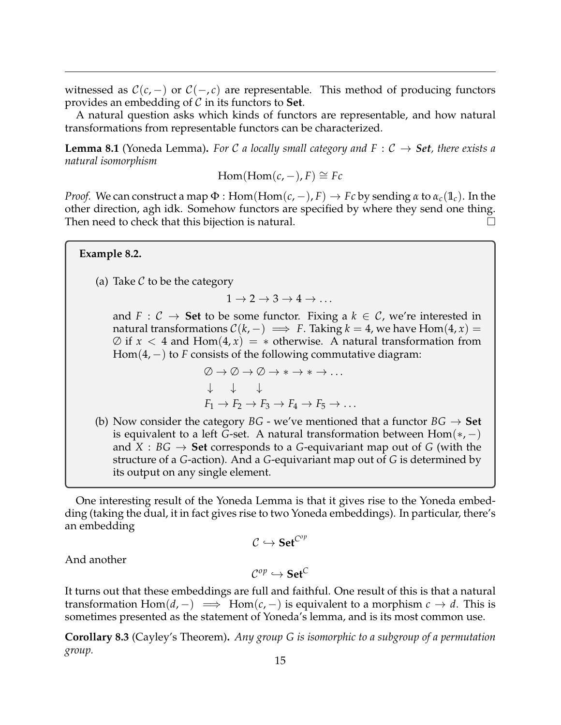witnessed as  $C(c, -)$  or  $C(-, c)$  are representable. This method of producing functors provides an embedding of C in its functors to **Set**.

A natural question asks which kinds of functors are representable, and how natural transformations from representable functors can be characterized.

**Lemma 8.1** (Yoneda Lemma). For C a locally small category and  $F: C \rightarrow Set$ , there exists a *natural isomorphism*

$$
Hom(Hom(c, -), F) \cong Fc
$$

*Proof.* We can construct a map  $\Phi$ : Hom(Hom( $c$ , -),  $F$ )  $\rightarrow$   $Fc$  by sending  $\alpha$  to  $\alpha_c(\mathbb{1}_c)$ . In the other direction, agh idk. Somehow functors are specified by where they send one thing. Then need to check that this bijection is natural.

(a) Take  $\mathcal C$  to be the category

**Example 8.2.**

$$
1 \to 2 \to 3 \to 4 \to \ldots
$$

and *F* :  $C \rightarrow$  **Set** to be some functor. Fixing a  $k \in C$ , we're interested in natural transformations  $C(k, -) \implies F$ . Taking  $k = 4$ , we have Hom(4, *x*) =  $\emptyset$  if  $x < 4$  and  $Hom(4, x) = *$  otherwise. A natural transformation from Hom(4, −) to *F* consists of the following commutative diagram:

$$
\begin{array}{l}\n\oslash \rightarrow \oslash \rightarrow \oslash \rightarrow * \rightarrow * \rightarrow \dots \\
\downarrow \quad \downarrow \quad \downarrow \\
F_1 \rightarrow F_2 \rightarrow F_3 \rightarrow F_4 \rightarrow F_5 \rightarrow \dots\n\end{array}
$$

(b) Now consider the category  $BG$  - we've mentioned that a functor  $BG \rightarrow Set$ is equivalent to a left *G*-set. A natural transformation between  $Hom(*,-)$ and  $X : BG \to Set$  corresponds to a *G*-equivariant map out of *G* (with the structure of a *G*-action). And a *G*-equivariant map out of *G* is determined by its output on any single element.

One interesting result of the Yoneda Lemma is that it gives rise to the Yoneda embedding (taking the dual, it in fact gives rise to two Yoneda embeddings). In particular, there's an embedding

$$
\mathcal{C} \hookrightarrow \mathbf{Set}^{C^{op}}
$$

And another

$$
\mathcal{C}^{op} \hookrightarrow \mathbf{Set}^C
$$

It turns out that these embeddings are full and faithful. One result of this is that a natural transformation Hom( $d$ , −)  $\implies$  Hom( $c$ , −) is equivalent to a morphism  $c \to d$ . This is sometimes presented as the statement of Yoneda's lemma, and is its most common use.

**Corollary 8.3** (Cayley's Theorem)**.** *Any group G is isomorphic to a subgroup of a permutation group.*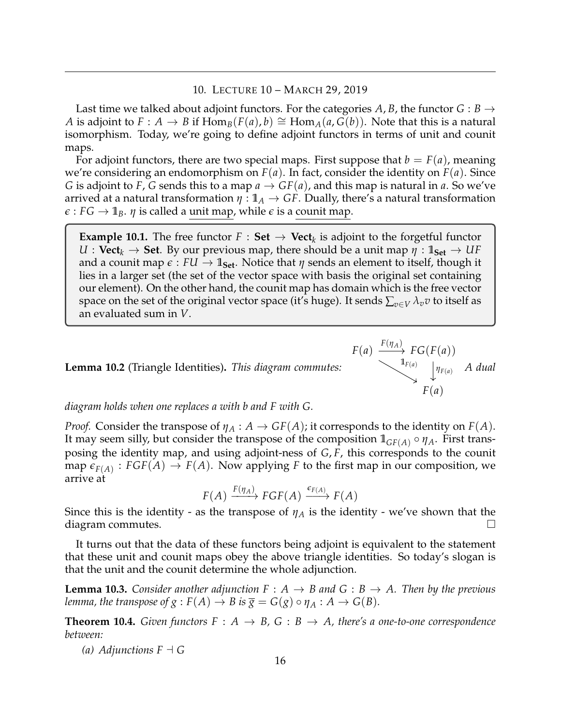## 10. LECTURE 10 – MARCH 29, 2019

<span id="page-15-0"></span>Last time we talked about adjoint functors. For the categories A, B, the functor  $G : B \to$ *A* is adjoint to  $F : A \to B$  if  $\text{Hom}_B(F(a), b) \cong \text{Hom}_A(a, G(b))$ . Note that this is a natural isomorphism. Today, we're going to define adjoint functors in terms of unit and counit maps.

For adjoint functors, there are two special maps. First suppose that  $b = F(a)$ , meaning we're considering an endomorphism on  $F(a)$ . In fact, consider the identity on  $F(a)$ . Since *G* is adjoint to *F*, *G* sends this to a map  $a \to GF(a)$ , and this map is natural in *a*. So we've arrived at a natural transformation  $\eta: \mathbb{1}_A \to GF$ . Dually, there's a natural transformation  $\epsilon$  : *FG*  $\rightarrow$  1<sub>*B*</sub>. *η* is called a unit map, while  $\epsilon$  is a counit map.

**Example 10.1.** The free functor  $F : Set \to Vect_k$  is adjoint to the forgetful functor  $U:$  **Vect**<sub>*k*</sub>  $\rightarrow$  **Set**. By our previous map, there should be a unit map  $\eta:$  1<sub>Set</sub>  $\rightarrow$  *UF* and a counit map  $\epsilon$  :  $FU \rightarrow \mathbb{1}_{Set}$ . Notice that  $\eta$  sends an element to itself, though it lies in a larger set (the set of the vector space with basis the original set containing our element). On the other hand, the counit map has domain which is the free vector space on the set of the original vector space (it's huge). It sends  $\sum_{v \in V} \lambda_v v$  to itself as an evaluated sum in *V*.

**Lemma 10.2** (Triangle Identities)**.** *This diagram commutes:*

$$
F(a) \xrightarrow{F(\eta_A)} FG(F(a))
$$
  
\n $\downarrow^{1_{F(a)}}$   $\downarrow^{1_{F(a)}}$  A dual  
\n $F(a)$ 

*diagram holds when one replaces a with b and F with G.*

*Proof.* Consider the transpose of  $\eta_A : A \to GF(A)$ ; it corresponds to the identity on  $F(A)$ . It may seem silly, but consider the transpose of the composition  $\mathbb{1}_{GF(A)} \circ \eta_A$ . First transposing the identity map, and using adjoint-ness of *G*, *F*, this corresponds to the counit map  $\epsilon_{F(A)}$ :  $FGF(A) \rightarrow F(A)$ . Now applying *F* to the first map in our composition, we arrive at

 $F(A) \xrightarrow{F(\eta_A)} FGF(A) \xrightarrow{\epsilon_{F(A)}} F(A)$ 

Since this is the identity - as the transpose of  $\eta_A$  is the identity - we've shown that the diagram commutes.  $\Box$ 

It turns out that the data of these functors being adjoint is equivalent to the statement that these unit and counit maps obey the above triangle identities. So today's slogan is that the unit and the counit determine the whole adjunction.

**Lemma 10.3.** *Consider another adjunction*  $F : A \rightarrow B$  *and*  $G : B \rightarrow A$ *. Then by the previous lemma, the transpose of g* :  $F(A) \to B$  *is*  $\overline{g} = G(g) \circ \eta_A : A \to G(B)$ *.* 

**Theorem 10.4.** *Given functors*  $F : A \rightarrow B$ ,  $G : B \rightarrow A$ , *there's a one-to-one correspondence between:*

*(a) Adjunctions*  $F \dashv G$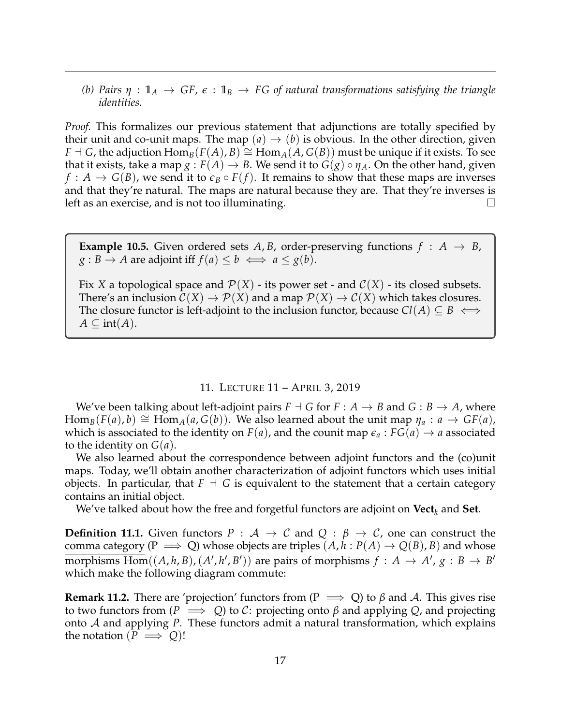*(b) Pairs*  $\eta$  :  $\mathbb{1}_A \to GF$ ,  $\epsilon$  :  $\mathbb{1}_B \to FG$  of natural transformations satisfying the triangle *identities.*

*Proof.* This formalizes our previous statement that adjunctions are totally specified by their unit and co-unit maps. The map  $(a) \rightarrow (b)$  is obvious. In the other direction, given *F*  $\exists$  *G*, the adjuction  $\text{Hom}_B(F(A), B) \cong \text{Hom}_A(A, G(B))$  must be unique if it exists. To see that it exists, take a map  $g : F(A) \to B$ . We send it to  $G(g) \circ \eta_A$ . On the other hand, given  $f: A \to G(B)$ , we send it to  $\epsilon_B \circ F(f)$ . It remains to show that these maps are inverses and that they're natural. The maps are natural because they are. That they're inverses is left as an exercise, and is not too illuminating.  $\Box$ 

**Example 10.5.** Given ordered sets  $A$ ,  $B$ , order-preserving functions  $f : A \rightarrow B$ ,  $g : B \to A$  are adjoint iff  $f(a) \leq b \iff a \leq g(b)$ .

Fix *X* a topological space and  $\mathcal{P}(X)$  - its power set - and  $\mathcal{C}(X)$  - its closed subsets. There's an inclusion  $C(X) \to P(X)$  and a map  $P(X) \to C(X)$  which takes closures. The closure functor is left-adjoint to the inclusion functor, because  $Cl(A) \subseteq B \iff$  $A \subseteq \text{int}(A)$ .

### 11. LECTURE 11 – APRIL 3, 2019

<span id="page-16-0"></span>We've been talking about left-adjoint pairs  $F \dashv G$  for  $F : A \to B$  and  $G : B \to A$ , where  $\text{Hom}_{B}(F(a), b) \cong \text{Hom}_{A}(a, G(b)).$  We also learned about the unit map  $\eta_a : a \to GF(a)$ , which is associated to the identity on  $F(a)$ , and the counit map  $\epsilon_a$ :  $FG(a) \rightarrow a$  associated to the identity on *G*(*a*).

We also learned about the correspondence between adjoint functors and the (co)unit maps. Today, we'll obtain another characterization of adjoint functors which uses initial objects. In particular, that  $F \dashv G$  is equivalent to the statement that a certain category contains an initial object.

We've talked about how the free and forgetful functors are adjoint on **Vect***<sup>k</sup>* and **Set**.

**Definition 11.1.** Given functors  $P : A \rightarrow C$  and  $Q : \beta \rightarrow C$ , one can construct the comma category ( $P \implies Q$ ) whose objects are triples  $(A, h : P(A) \rightarrow Q(B), B)$  and whose  $\overline{\text{morphisms Hom}}((A, h, B), (A', h', B'))$  are pairs of morphisms  $f : A \rightarrow A', g : B \rightarrow B'$ which make the following diagram commute:

**Remark 11.2.** There are 'projection' functors from ( $P \implies Q$ ) to  $\beta$  and A. This gives rise to two functors from  $(P \implies Q)$  to C: projecting onto  $\beta$  and applying  $Q$ , and projecting onto A and applying *P*. These functors admit a natural transformation, which explains the notation  $(P \implies Q)!$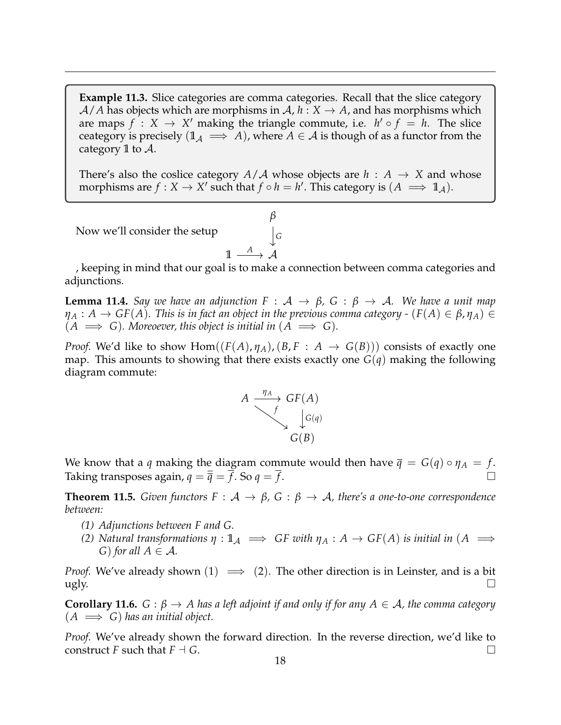**Example 11.3.** Slice categories are comma categories. Recall that the slice category  $A/A$  has objects which are morphisms in  $A, h: X \rightarrow A$ , and has morphisms which are maps  $f: X \to X'$  making the triangle commute, i.e.  $h' \circ f = h$ . The slice ceategory is precisely  $(1_A \implies A)$ , where  $A \in \mathcal{A}$  is though of as a functor from the category **1** to A.

There's also the coslice category  $A/A$  whose objects are  $h : A \rightarrow X$  and whose morphisms are  $f : X \to X'$  such that  $f \circ h = h'$ . This category is  $(A \implies \mathbb{1}_A)$ .

*β*

 $\mathbf{I}$ 

Now we'll consider the setup

$$
\mathbb{1} \xrightarrow{A} \mathcal{A}
$$

, keeping in mind that our goal is to make a connection between comma categories and adjunctions.

**Lemma 11.4.** *Say we have an adjunction*  $F : A \rightarrow \beta$ ,  $G : \beta \rightarrow A$ . We have a unit map  $\eta_A : A \to GF(A)$ . This is in fact an object in the previous comma category - ( $F(A) \in \beta$ ,  $\eta_A$ ) ∈  $(A \implies G)$ . Moreoever, this object is initial in  $(A \implies G)$ .

*Proof.* We'd like to show Hom $((F(A), \eta_A), (B, F : A \rightarrow G(B)))$  consists of exactly one map. This amounts to showing that there exists exactly one *G*(*q*) making the following diagram commute:



We know that a *q* making the diagram commute would then have  $\bar{q} = G(q) \circ \eta_A = f$ . Taking transposes again,  $q = \overline{\overline{q}} = f$ . So  $q = f$ .

**Theorem 11.5.** *Given functors*  $F : A \rightarrow \beta$ ,  $G : \beta \rightarrow A$ , *there's a one-to-one correspondence between:*

- *(1) Adjunctions between F and G.*
- *(2) Natural transformations*  $\eta : \mathbb{1}_A \implies GF$  *with*  $\eta_A : A \to GF(A)$  *is initial in*  $(A \implies$ *G*) *for all*  $A \in \mathcal{A}$ *.*

*Proof.* We've already shown  $(1) \implies (2)$ . The other direction is in Leinster, and is a bit  $\log$   $\log$ 

**Corollary 11.6.**  $G : \beta \to A$  has a left adjoint if and only if for any  $A \in \mathcal{A}$ , the comma category  $(A \implies G)$  has an initial object.

*Proof.* We've already shown the forward direction. In the reverse direction, we'd like to construct *F* such that  $F \dashv G$ .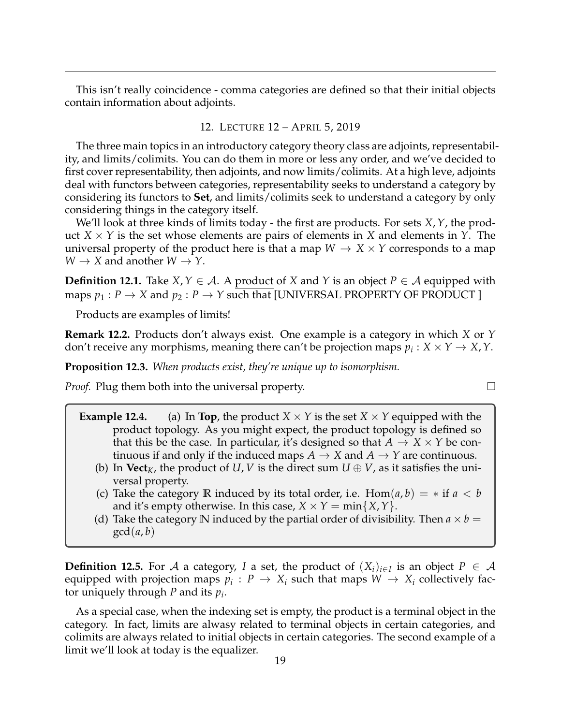This isn't really coincidence - comma categories are defined so that their initial objects contain information about adjoints.

#### 12. LECTURE 12 – APRIL 5, 2019

<span id="page-18-0"></span>The three main topics in an introductory category theory class are adjoints, representability, and limits/colimits. You can do them in more or less any order, and we've decided to first cover representability, then adjoints, and now limits/colimits. At a high leve, adjoints deal with functors between categories, representability seeks to understand a category by considering its functors to **Set**, and limits/colimits seek to understand a category by only considering things in the category itself.

We'll look at three kinds of limits today - the first are products. For sets *X*,*Y*, the product  $X \times Y$  is the set whose elements are pairs of elements in *X* and elements in *Y*. The universal property of the product here is that a map  $W \to X \times Y$  corresponds to a map  $W \rightarrow X$  and another  $W \rightarrow Y$ .

**Definition 12.1.** Take *X*, *Y* ∈ *A*. A product of *X* and *Y* is an object *P* ∈ *A* equipped with maps  $p_1 : P \to X$  and  $p_2 : P \to Y$  such that [UNIVERSAL PROPERTY OF PRODUCT]

Products are examples of limits!

**Remark 12.2.** Products don't always exist. One example is a category in which *X* or *Y* don't receive any morphisms, meaning there can't be projection maps  $p_i : X \times Y \to X, Y$ .

**Proposition 12.3.** *When products exist, they're unique up to isomorphism.*

*Proof.* Plug them both into the universal property.  $\Box$ 

- **Example 12.4.** (a) In **Top**, the product  $X \times Y$  is the set  $X \times Y$  equipped with the product topology. As you might expect, the product topology is defined so that this be the case. In particular, it's designed so that  $A \rightarrow X \times Y$  be continuous if and only if the induced maps  $A \rightarrow X$  and  $A \rightarrow Y$  are continuous.
	- (b) In **Vect**<sub>*K*</sub>, the product of *U*, *V* is the direct sum  $U \oplus V$ , as it satisfies the universal property.
	- (c) Take the category **R** induced by its total order, i.e.  $Hom(a, b) = *$  if  $a < b$ and it's empty otherwise. In this case,  $X \times Y = \min\{X, Y\}$ .
	- (d) Take the category **N** induced by the partial order of divisibility. Then  $a \times b =$  $gcd(a, b)$

**Definition 12.5.** For  $\mathcal A$  a category, *I* a set, the product of  $(X_i)_{i\in I}$  is an object  $P \in \mathcal A$ equipped with projection maps  $p_i: P \to X_i$  such that maps  $W \to X_i$  collectively factor uniquely through *P* and its *p<sup>i</sup>* .

As a special case, when the indexing set is empty, the product is a terminal object in the category. In fact, limits are alwasy related to terminal objects in certain categories, and colimits are always related to initial objects in certain categories. The second example of a limit we'll look at today is the equalizer.